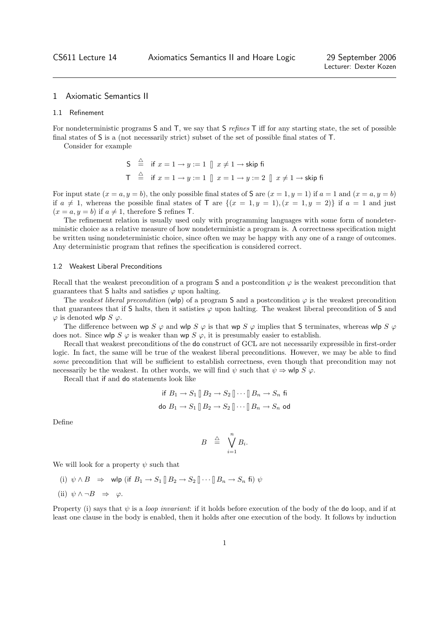# 1 Axiomatic Semantics II

#### 1.1 Refinement

For nondeterministic programs S and T, we say that S refines T iff for any starting state, the set of possible final states of S is a (not necessarily strict) subset of the set of possible final states of T.

Consider for example

S 
$$
\stackrel{\triangle}{=}
$$
 if  $x = 1 \rightarrow y := 1$   $\parallel x \neq 1 \rightarrow$  skip fi  
T  $\stackrel{\triangle}{=}$  if  $x = 1 \rightarrow y := 1$   $\parallel x = 1 \rightarrow y := 2$   $\parallel x \neq 1 \rightarrow$  skip fi

For input state  $(x = a, y = b)$ , the only possible final states of S are  $(x = 1, y = 1)$  if  $a = 1$  and  $(x = a, y = b)$ if  $a \neq 1$ , whereas the possible final states of T are  $\{(x = 1, y = 1), (x = 1, y = 2)\}\)$  if  $a = 1$  and just  $(x = a, y = b)$  if  $a \neq 1$ , therefore S refines T.

The refinement relation is usually used only with programming languages with some form of nondeterministic choice as a relative measure of how nondeterministic a program is. A correctness specification might be written using nondeterministic choice, since often we may be happy with any one of a range of outcomes. Any deterministic program that refines the specification is considered correct.

## 1.2 Weakest Liberal Preconditions

Recall that the weakest precondition of a program S and a postcondition  $\varphi$  is the weakest precondition that guarantees that S halts and satisfies  $\varphi$  upon halting.

The weakest liberal precondition (wlp) of a program S and a postcondition  $\varphi$  is the weakest precondition that guarantees that if S halts, then it satisties  $\varphi$  upon halting. The weakest liberal precondition of S and  $\varphi$  is denoted wlp  $S \varphi$ .

The difference between wp S  $\varphi$  and wlp S  $\varphi$  is that wp S  $\varphi$  implies that S terminates, whereas wlp S  $\varphi$ does not. Since wlp  $S \varphi$  is weaker than wp  $S \varphi$ , it is presumably easier to establish.

Recall that weakest preconditions of the do construct of GCL are not necessarily expressible in first-order logic. In fact, the same will be true of the weakest liberal preconditions. However, we may be able to find some precondition that will be sufficient to establish correctness, even though that precondition may not necessarily be the weakest. In other words, we will find  $\psi$  such that  $\psi \Rightarrow \mathsf{wlp}\;S\; \varphi$ .

Recall that if and do statements look like

$$
\text{if } B_1 \to S_1 \parallel B_2 \to S_2 \parallel \cdots \parallel B_n \to S_n \text{ fi}
$$
  

$$
\text{do } B_1 \to S_1 \parallel B_2 \to S_2 \parallel \cdots \parallel B_n \to S_n \text{ od}
$$

Define

$$
B \quad \stackrel{\triangle}{=} \quad \bigvee_{i=1}^{n} B_i.
$$

We will look for a property  $\psi$  such that

(i)  $\psi \wedge B \Rightarrow$  wlp (if  $B_1 \rightarrow S_1 \parallel B_2 \rightarrow S_2 \parallel \cdots \parallel B_n \rightarrow S_n$  fi)  $\psi$ 

(ii) 
$$
\psi \land \neg B \Rightarrow \varphi
$$
.

Property (i) says that  $\psi$  is a *loop invariant*: if it holds before execution of the body of the do loop, and if at least one clause in the body is enabled, then it holds after one execution of the body. It follows by induction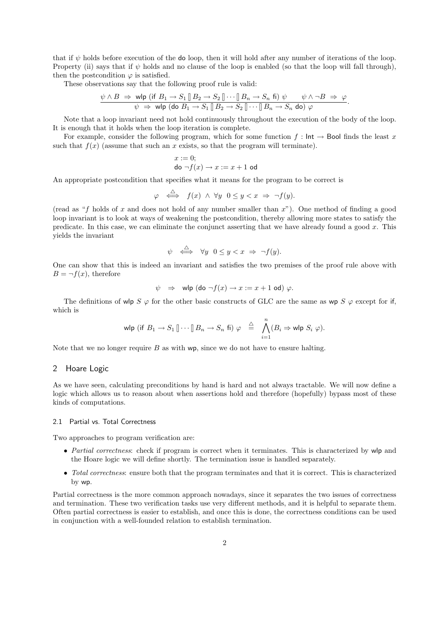that if  $\psi$  holds before execution of the do loop, then it will hold after any number of iterations of the loop. Property (ii) says that if  $\psi$  holds and no clause of the loop is enabled (so that the loop will fall through), then the postcondition  $\varphi$  is satisfied.

These observations say that the following proof rule is valid:

$$
\frac{\psi \wedge B \Rightarrow \text{ wlp (if } B_1 \to S_1 \mathop{[}B_2 \to S_2 \mathop{[} \cdots \mathop{]}B_n \to S_n \text{ fi}) \psi}{}{\psi \to \text{ wlp (do } B_1 \to S_1 \mathop{[}B_2 \to S_2 \mathop{[} \cdots \mathop{]}B_n \to S_n \text{ do}) \varphi}.
$$

Note that a loop invariant need not hold continuously throughout the execution of the body of the loop. It is enough that it holds when the loop iteration is complete.

For example, consider the following program, which for some function  $f : \text{Int} \to \text{Bool}$  finds the least x such that  $f(x)$  (assume that such an x exists, so that the program will terminate).

$$
\begin{array}{l} x:=0; \\ \text{do}\ \neg f(x) \rightarrow x:=x+1 \text{ od} \end{array}
$$

An appropriate postcondition that specifies what it means for the program to be correct is

$$
\varphi \iff f(x) \land \forall y \ \ 0 \le y < x \ \Rightarrow \ \neg f(y).
$$

(read as "f holds of x and does not hold of any number smaller than  $x$ "). One method of finding a good loop invariant is to look at ways of weakening the postcondition, thereby allowing more states to satisfy the predicate. In this case, we can eliminate the conjunct asserting that we have already found a good  $x$ . This yields the invariant

$$
\psi \iff \forall y \ \ 0 \le y < x \ \Rightarrow \ \neg f(y).
$$

One can show that this is indeed an invariant and satisfies the two premises of the proof rule above with  $B = \neg f(x)$ , therefore

$$
\psi \Rightarrow \text{wlp } (\text{do } \neg f(x) \rightarrow x := x + 1 \text{ od}) \varphi.
$$

The definitions of wlp  $S \varphi$  for the other basic constructs of GLC are the same as wp  $S \varphi$  except for if, which is

$$
\text{wlp (if } B_1 \to S_1 \, [] \cdots [] B_n \to S_n \, \text{fi)} \, \, \varphi \quad \stackrel{\triangle}{=} \, \bigwedge_{i=1}^n (B_i \Rightarrow \text{wlp } S_i \, \, \varphi).
$$

Note that we no longer require  $B$  as with wp, since we do not have to ensure halting.

# 2 Hoare Logic

As we have seen, calculating preconditions by hand is hard and not always tractable. We will now define a logic which allows us to reason about when assertions hold and therefore (hopefully) bypass most of these kinds of computations.

#### 2.1 Partial vs. Total Correctness

Two approaches to program verification are:

- Partial correctness: check if program is correct when it terminates. This is characterized by wlp and the Hoare logic we will define shortly. The termination issue is handled separately.
- Total correctness: ensure both that the program terminates and that it is correct. This is characterized by wp.

Partial correctness is the more common approach nowadays, since it separates the two issues of correctness and termination. These two verification tasks use very different methods, and it is helpful to separate them. Often partial correctness is easier to establish, and once this is done, the correctness conditions can be used in conjunction with a well-founded relation to establish termination.